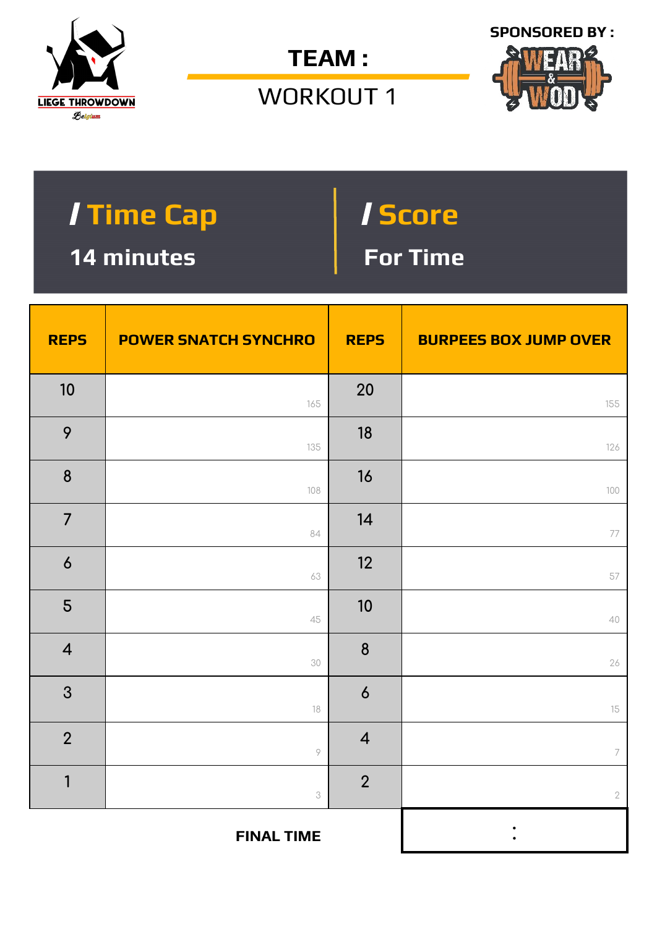

**TEAM :** 

WORKOUT 1



| <b>Time Cap</b> | <i>I</i> Score |
|-----------------|----------------|
| 14 minutes      | For Time       |

| <b>REPS</b>      | <b>POWER SNATCH SYNCHRO</b> | <b>REPS</b>      | <b>BURPEES BOX JUMP OVER</b> |
|------------------|-----------------------------|------------------|------------------------------|
| 10               | 165                         | 20               | 155                          |
| 9                | 135                         | 18               | 126                          |
| $\boldsymbol{8}$ | 108                         | 16               | 100                          |
| $\overline{7}$   | 84                          | 14               | 77                           |
| $\boldsymbol{6}$ | 63                          | 12               | 57                           |
| 5                | 45                          | 10               | 40                           |
| $\overline{4}$   | 30                          | 8                | 26                           |
| 3                | 18                          | $\boldsymbol{6}$ | $15\,$                       |
| $\overline{2}$   | $\, \varphi$                | $\overline{4}$   | $\overline{\phantom{a}}$     |
| $\mathbf{1}$     | $\ensuremath{\mathcal{S}}$  | $\overline{2}$   | $\sqrt{2}$                   |
|                  | <b>FINAL TIME</b>           |                  |                              |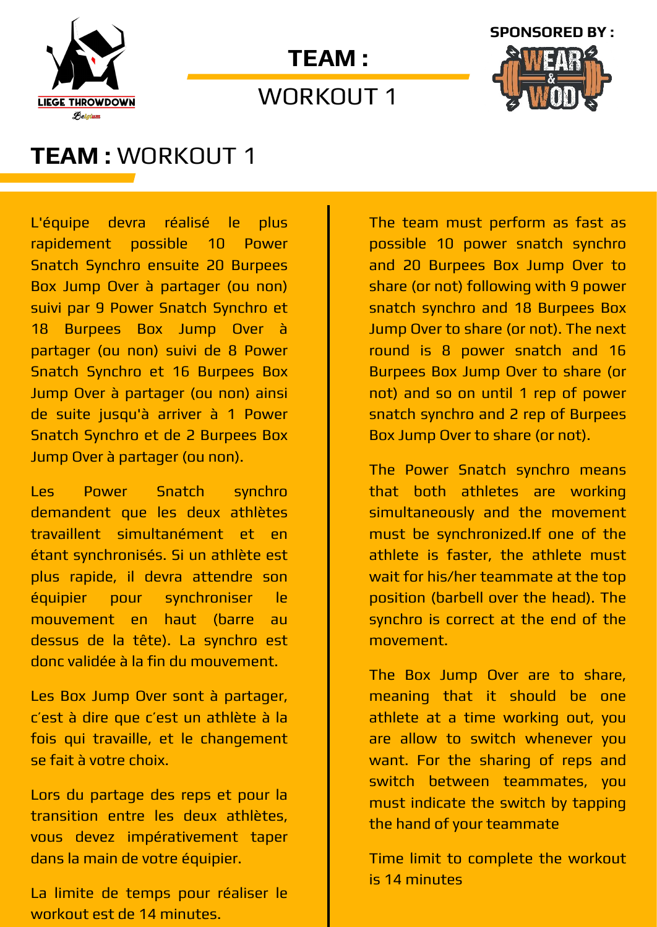

# **TEAM :**

WORKOUT 1



### **TEAM :** WORKOUT 1

L'équipe devra réalisé le plus rapidement possible 10 Power Snatch Synchro ensuite 20 Burpees Box Jump Over à partager (ou non) suivi par 9 Power Snatch Synchro et 18 Burpees Box Jump Over à partager (ou non) suivi de 8 Power Snatch Synchro et 16 Burpees Box Jump Over à partager (ou non) ainsi de suite jusqu'à arriver à 1 Power Snatch Synchro et de 2 Burpees Box Jump Over à partager (ou non).

Les Power Snatch synchro demandent que les deux athlètes travaillent simultanément et en étant synchronisés. Si un athlète est plus rapide, il devra attendre son équipier pour synchroniser le mouvement en haut (barre au dessus de la tête). La synchro est donc validée à la fin du mouvement.

Les Box Jump Over sont à partager, c'est à dire que c'est un athlète à la fois qui travaille, et le changement se fait à votre choix.

Lors du partage des reps et pour la transition entre les deux athlètes, vous devez impérativement taper dans la main de votre équipier.

La limite de temps pour réaliser le workout est de 14 minutes.

The team must perform as fast as possible 10 power snatch synchro and 20 Burpees Box Jump Over to share (or not) following with 9 power snatch synchro and 18 Burpees Box Jump Over to share (or not). The next round is 8 power snatch and 16 Burpees Box Jump Over to share (or not) and so on until 1 rep of power snatch synchro and 2 rep of Burpees Box Jump Over to share (or not).

The Power Snatch synchro means that both athletes are working simultaneously and the movement must be synchronized.If one of the athlete is faster, the athlete must wait for his/her teammate at the top position (barbell over the head). The synchro is correct at the end of the movement.

The Box Jump Over are to share, meaning that it should be one athlete at a time working out, you are allow to switch whenever you want. For the sharing of reps and switch between teammates, you must indicate the switch by tapping the hand of your teammate

Time limit to complete the workout is 14 minutes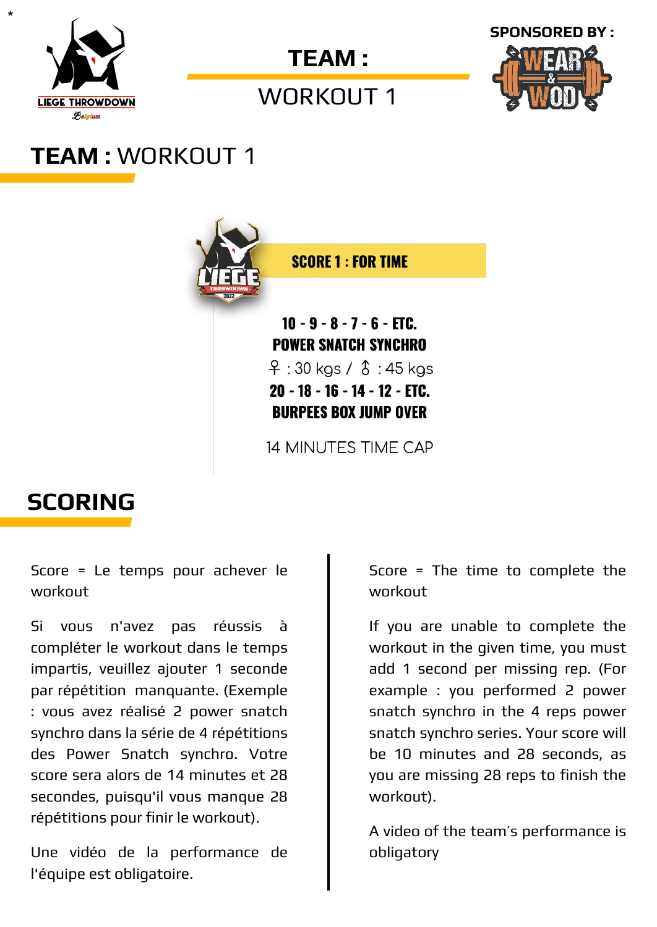

\*



### WORKOUT 1



# **TEAM :** WORKOUT 1



### **SCORING**

Score = Le temps pour achever le workout

Si vous n'avez pas réussis à compléter le workout dans le temps impartis, veuillez ajouter 1 seconde par répétition manquante. (Exemple : vous avez réalisé 2 power snatch synchro dans la série de 4 répétitions des Power Snatch synchro. Votre score sera alors de 14 minutes et 28 secondes, puisqu'il vous manque 28 répétitions pour finir le workout).

Une vidéo de la performance de l'équipe est obligatoire.

Score = The time to complete the workout

If you are unable to complete the workout in the given time, you must add 1 second per missing rep. (For example : you performed 2 power snatch synchro in the 4 reps power snatch synchro series. Your score will be 10 minutes and 28 seconds, as you are missing 28 reps to finish the workout).

A video of the team's performance is obligatory